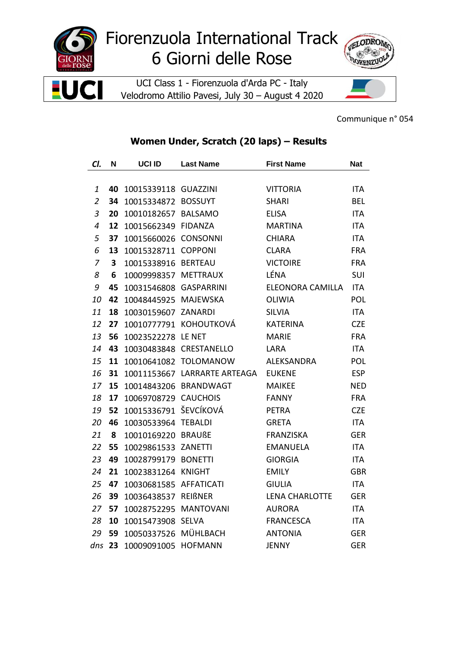

## Fiorenzuola International Track 6 Giorni delle Rose

UCI Class 1 - Fiorenzuola d'Arda PC - Italy Velodromo Attilio Pavesi, July 30 - August 4 2020



Communique n° 054

## Women Under, Scratch (20 laps) - Results

| CI.                      | N  | UCI ID               | <b>Last Name</b>       | <b>First Name</b>     | <b>Nat</b> |
|--------------------------|----|----------------------|------------------------|-----------------------|------------|
|                          |    |                      |                        |                       |            |
| 1                        | 40 | 10015339118 GUAZZINI |                        | <b>VITTORIA</b>       | <b>ITA</b> |
| $\overline{2}$           | 34 | 10015334872          | <b>BOSSUYT</b>         | <b>SHARI</b>          | <b>BEL</b> |
| $\mathfrak{Z}$           | 20 | 10010182657          | <b>BALSAMO</b>         | <b>ELISA</b>          | <b>ITA</b> |
| $\overline{\mathcal{A}}$ | 12 | 10015662349          | <b>FIDANZA</b>         | <b>MARTINA</b>        | <b>ITA</b> |
| 5                        | 37 | 10015660026          | <b>CONSONNI</b>        | <b>CHIARA</b>         | <b>ITA</b> |
| 6                        | 13 | 10015328711 COPPONI  |                        | <b>CLARA</b>          | <b>FRA</b> |
| 7                        | 3  | 10015338916          | <b>BERTEAU</b>         | <b>VICTOIRE</b>       | <b>FRA</b> |
| 8                        | 6  | 10009998357          | <b>METTRAUX</b>        | LÉNA                  | SUI        |
| 9                        | 45 | 10031546808          | <b>GASPARRINI</b>      | ELEONORA CAMILLA      | <b>ITA</b> |
| 10                       | 42 | 10048445925          | <b>MAJEWSKA</b>        | <b>OLIWIA</b>         | <b>POL</b> |
| 11                       | 18 | 10030159607          | <b>ZANARDI</b>         | <b>SILVIA</b>         | <b>ITA</b> |
| 12                       | 27 |                      | 10010777791 KOHOUTKOVÁ | <b>KATERINA</b>       | <b>CZE</b> |
| 13                       | 56 | 10023522278          | LE NET                 | <b>MARIE</b>          | <b>FRA</b> |
| 14                       | 43 | 10030483848          | CRESTANELLO            | LARA                  | <b>ITA</b> |
| 15                       | 11 | 10010641082          | <b>TOLOMANOW</b>       | <b>ALEKSANDRA</b>     | POL        |
| 16                       | 31 | 10011153667          | LARRARTE ARTEAGA       | <b>EUKENE</b>         | <b>ESP</b> |
| 17                       | 15 | 10014843206          | <b>BRANDWAGT</b>       | <b>MAIKEE</b>         | <b>NED</b> |
| 18                       | 17 | 10069708729 CAUCHOIS |                        | <b>FANNY</b>          | <b>FRA</b> |
| 19                       | 52 | 10015336791          | ŠEVCÍKOVÁ              | <b>PETRA</b>          | <b>CZE</b> |
| 20                       | 46 | 10030533964          | <b>TEBALDI</b>         | <b>GRETA</b>          | <b>ITA</b> |
| 21                       | 8  | 10010169220          | <b>BRAUßE</b>          | <b>FRANZISKA</b>      | <b>GER</b> |
| 22                       | 55 | 10029861533          | ZANETTI                | <b>EMANUELA</b>       | <b>ITA</b> |
| 23                       | 49 | 10028799179 BONETTI  |                        | <b>GIORGIA</b>        | <b>ITA</b> |
| 24                       | 21 | 10023831264 KNIGHT   |                        | <b>EMILY</b>          | <b>GBR</b> |
| 25                       | 47 | 10030681585          | <b>AFFATICATI</b>      | <b>GIULIA</b>         | <b>ITA</b> |
| 26                       | 39 | 10036438537          | <b>REIßNER</b>         | <b>LENA CHARLOTTE</b> | <b>GER</b> |
| 27                       | 57 | 10028752295          | <b>MANTOVANI</b>       | <b>AURORA</b>         | ITA        |
| 28                       | 10 | 10015473908          | <b>SELVA</b>           | <b>FRANCESCA</b>      | <b>ITA</b> |
| 29                       | 59 | 10050337526          | MÜHLBACH               | <b>ANTONIA</b>        | <b>GER</b> |
| dns                      | 23 | 10009091005          | <b>HOFMANN</b>         | <b>JENNY</b>          | <b>GER</b> |